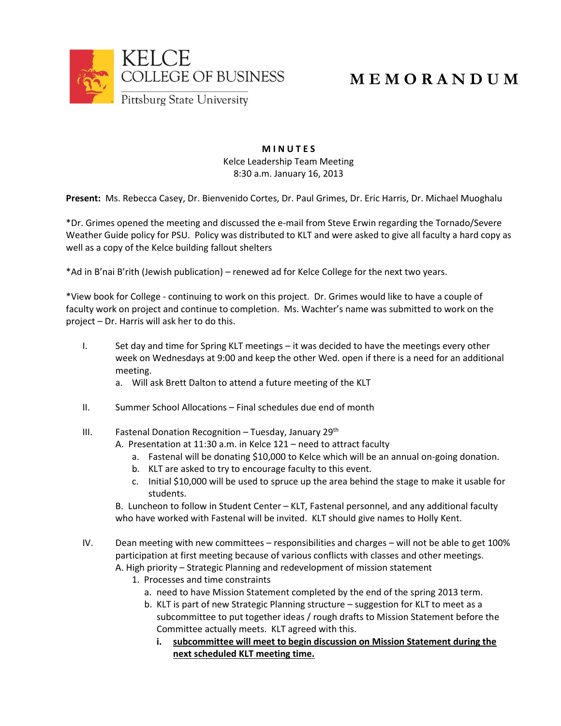

## **M E M O R A N D U M**

## **M I N U T E S** Kelce Leadership Team Meeting 8:30 a.m. January 16, 2013

**Present:** Ms. Rebecca Casey, Dr. Bienvenido Cortes, Dr. Paul Grimes, Dr. Eric Harris, Dr. Michael Muoghalu

\*Dr. Grimes opened the meeting and discussed the e-mail from Steve Erwin regarding the Tornado/Severe Weather Guide policy for PSU. Policy was distributed to KLT and were asked to give all faculty a hard copy as well as a copy of the Kelce building fallout shelters

\*Ad in B'nai B'rith (Jewish publication) – renewed ad for Kelce College for the next two years.

\*View book for College - continuing to work on this project. Dr. Grimes would like to have a couple of faculty work on project and continue to completion. Ms. Wachter's name was submitted to work on the project – Dr. Harris will ask her to do this.

- I. Set day and time for Spring KLT meetings it was decided to have the meetings every other week on Wednesdays at 9:00 and keep the other Wed. open if there is a need for an additional meeting.
	- a. Will ask Brett Dalton to attend a future meeting of the KLT
- II. Summer School Allocations Final schedules due end of month
- III. Fastenal Donation Recognition Tuesday, January  $29<sup>th</sup>$ 
	- A. Presentation at 11:30 a.m. in Kelce 121 need to attract faculty
		- a. Fastenal will be donating \$10,000 to Kelce which will be an annual on-going donation.
		- b. KLT are asked to try to encourage faculty to this event.
		- c. Initial \$10,000 will be used to spruce up the area behind the stage to make it usable for students.

B. Luncheon to follow in Student Center – KLT, Fastenal personnel, and any additional faculty who have worked with Fastenal will be invited. KLT should give names to Holly Kent.

- IV. Dean meeting with new committees responsibilities and charges will not be able to get 100% participation at first meeting because of various conflicts with classes and other meetings. A. High priority – Strategic Planning and redevelopment of mission statement
	- 1. Processes and time constraints
		- a. need to have Mission Statement completed by the end of the spring 2013 term.
		- b. KLT is part of new Strategic Planning structure suggestion for KLT to meet as a subcommittee to put together ideas / rough drafts to Mission Statement before the Committee actually meets. KLT agreed with this.
			- **i. subcommittee will meet to begin discussion on Mission Statement during the next scheduled KLT meeting time.**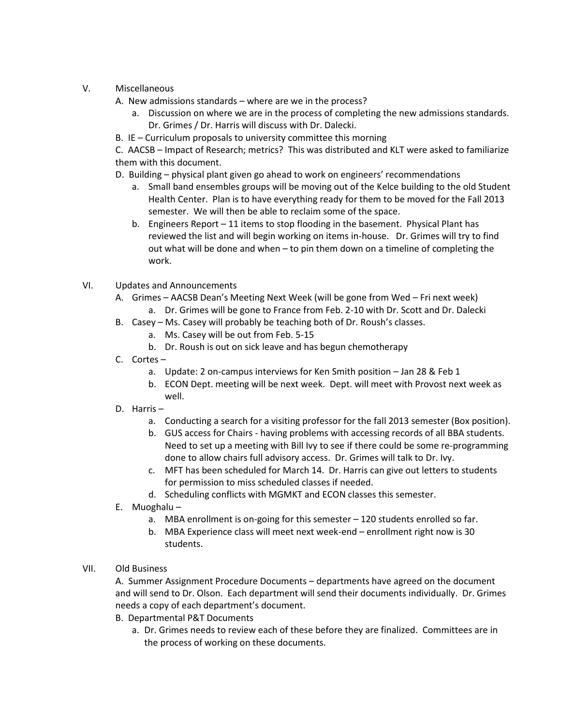- V. Miscellaneous
	- A. New admissions standards where are we in the process?
		- a. Discussion on where we are in the process of completing the new admissions standards. Dr. Grimes / Dr. Harris will discuss with Dr. Dalecki.
	- B. IE Curriculum proposals to university committee this morning

C. AACSB – Impact of Research; metrics? This was distributed and KLT were asked to familiarize them with this document.

- D. Building physical plant given go ahead to work on engineers' recommendations
	- a. Small band ensembles groups will be moving out of the Kelce building to the old Student Health Center. Plan is to have everything ready for them to be moved for the Fall 2013 semester. We will then be able to reclaim some of the space.
	- b. Engineers Report 11 items to stop flooding in the basement. Physical Plant has reviewed the list and will begin working on items in-house. Dr. Grimes will try to find out what will be done and when – to pin them down on a timeline of completing the work.
- VI. Updates and Announcements
	- A. Grimes AACSB Dean's Meeting Next Week (will be gone from Wed Fri next week)
		- a. Dr. Grimes will be gone to France from Feb. 2-10 with Dr. Scott and Dr. Dalecki
	- B. Casey Ms. Casey will probably be teaching both of Dr. Roush's classes.
		- a. Ms. Casey will be out from Feb. 5-15
		- b. Dr. Roush is out on sick leave and has begun chemotherapy
	- C. Cortes
		- a. Update: 2 on-campus interviews for Ken Smith position Jan 28 & Feb 1
		- b. ECON Dept. meeting will be next week. Dept. will meet with Provost next week as well.
	- D. Harris
		- a. Conducting a search for a visiting professor for the fall 2013 semester (Box position).
		- b. GUS access for Chairs having problems with accessing records of all BBA students. Need to set up a meeting with Bill Ivy to see if there could be some re-programming done to allow chairs full advisory access. Dr. Grimes will talk to Dr. Ivy.
		- c. MFT has been scheduled for March 14. Dr. Harris can give out letters to students for permission to miss scheduled classes if needed.
		- d. Scheduling conflicts with MGMKT and ECON classes this semester.
	- E. Muoghalu
		- a. MBA enrollment is on-going for this semester 120 students enrolled so far.
		- b. MBA Experience class will meet next week-end enrollment right now is 30 students.

## VII. Old Business

A. Summer Assignment Procedure Documents – departments have agreed on the document and will send to Dr. Olson. Each department will send their documents individually. Dr. Grimes needs a copy of each department's document.

- B. Departmental P&T Documents
	- a. Dr. Grimes needs to review each of these before they are finalized. Committees are in the process of working on these documents.